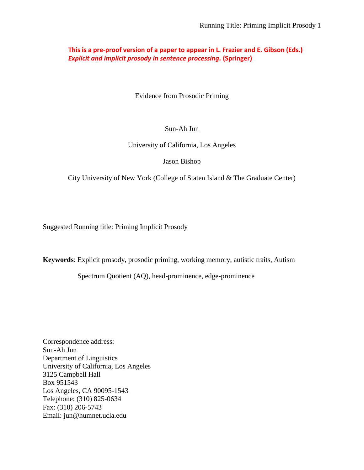# **This is a pre-proof version of a paper to appear in L. Frazier and E. Gibson (Eds.)** *Explicit and implicit prosody in sentence processing.* **(Springer)**

Evidence from Prosodic Priming

# Sun-Ah Jun

# University of California, Los Angeles

# Jason Bishop

City University of New York (College of Staten Island & The Graduate Center)

Suggested Running title: Priming Implicit Prosody

**Keywords**: Explicit prosody, prosodic priming, working memory, autistic traits, Autism

Spectrum Quotient (AQ), head-prominence, edge-prominence

Correspondence address: Sun-Ah Jun Department of Linguistics University of California, Los Angeles 3125 Campbell Hall Box 951543 Los Angeles, CA 90095-1543 Telephone: (310) 825-0634 Fax: (310) 206-5743 Email: jun@humnet.ucla.edu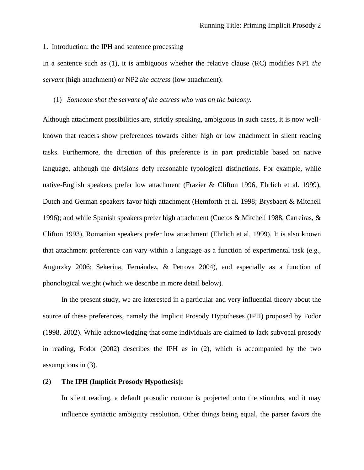## 1. Introduction: the IPH and sentence processing

In a sentence such as (1), it is ambiguous whether the relative clause (RC) modifies NP1 *the servant* (high attachment) or NP2 *the actress* (low attachment):

## (1) *Someone shot the servant of the actress who was on the balcony.*

Although attachment possibilities are, strictly speaking, ambiguous in such cases, it is now wellknown that readers show preferences towards either high or low attachment in silent reading tasks. Furthermore, the direction of this preference is in part predictable based on native language, although the divisions defy reasonable typological distinctions. For example, while native-English speakers prefer low attachment (Frazier & Clifton 1996, Ehrlich et al. 1999), Dutch and German speakers favor high attachment (Hemforth et al. 1998; Brysbaert & Mitchell 1996); and while Spanish speakers prefer high attachment (Cuetos & Mitchell 1988, Carreiras, & Clifton 1993), Romanian speakers prefer low attachment (Ehrlich et al. 1999). It is also known that attachment preference can vary within a language as a function of experimental task (e.g., Augurzky 2006; Sekerina, Fernández, & Petrova 2004), and especially as a function of phonological weight (which we describe in more detail below).

In the present study, we are interested in a particular and very influential theory about the source of these preferences, namely the Implicit Prosody Hypotheses (IPH) proposed by Fodor (1998, 2002). While acknowledging that some individuals are claimed to lack subvocal prosody in reading, Fodor (2002) describes the IPH as in (2), which is accompanied by the two assumptions in (3).

## (2) **The IPH (Implicit Prosody Hypothesis):**

In silent reading, a default prosodic contour is projected onto the stimulus, and it may influence syntactic ambiguity resolution. Other things being equal, the parser favors the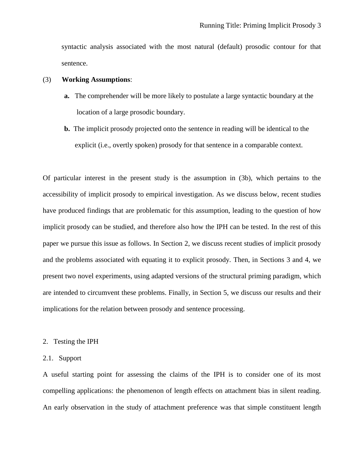syntactic analysis associated with the most natural (default) prosodic contour for that sentence.

### (3) **Working Assumptions**:

- **a.** The comprehender will be more likely to postulate a large syntactic boundary at the location of a large prosodic boundary.
- **b.** The implicit prosody projected onto the sentence in reading will be identical to the explicit (i.e., overtly spoken) prosody for that sentence in a comparable context.

Of particular interest in the present study is the assumption in (3b), which pertains to the accessibility of implicit prosody to empirical investigation. As we discuss below, recent studies have produced findings that are problematic for this assumption, leading to the question of how implicit prosody can be studied, and therefore also how the IPH can be tested. In the rest of this paper we pursue this issue as follows. In Section 2, we discuss recent studies of implicit prosody and the problems associated with equating it to explicit prosody. Then, in Sections 3 and 4, we present two novel experiments, using adapted versions of the structural priming paradigm, which are intended to circumvent these problems. Finally, in Section 5, we discuss our results and their implications for the relation between prosody and sentence processing.

### 2. Testing the IPH

## 2.1. Support

A useful starting point for assessing the claims of the IPH is to consider one of its most compelling applications: the phenomenon of length effects on attachment bias in silent reading. An early observation in the study of attachment preference was that simple constituent length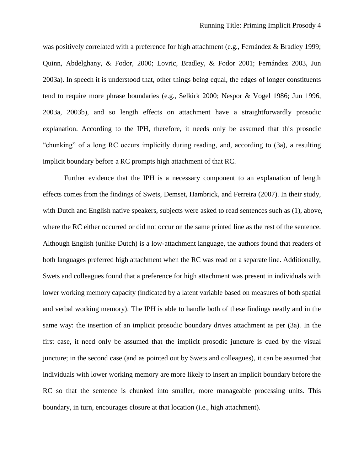was positively correlated with a preference for high attachment (e.g., Fernández & Bradley 1999; Quinn, Abdelghany, & Fodor, 2000; Lovric, Bradley, & Fodor 2001; Fernández 2003, Jun 2003a). In speech it is understood that, other things being equal, the edges of longer constituents tend to require more phrase boundaries (e.g., Selkirk 2000; Nespor & Vogel 1986; Jun 1996, 2003a, 2003b), and so length effects on attachment have a straightforwardly prosodic explanation. According to the IPH, therefore, it needs only be assumed that this prosodic "chunking" of a long RC occurs implicitly during reading, and, according to (3a), a resulting implicit boundary before a RC prompts high attachment of that RC.

Further evidence that the IPH is a necessary component to an explanation of length effects comes from the findings of Swets, Demset, Hambrick, and Ferreira (2007). In their study, with Dutch and English native speakers, subjects were asked to read sentences such as (1), above, where the RC either occurred or did not occur on the same printed line as the rest of the sentence. Although English (unlike Dutch) is a low-attachment language, the authors found that readers of both languages preferred high attachment when the RC was read on a separate line. Additionally, Swets and colleagues found that a preference for high attachment was present in individuals with lower working memory capacity (indicated by a latent variable based on measures of both spatial and verbal working memory). The IPH is able to handle both of these findings neatly and in the same way: the insertion of an implicit prosodic boundary drives attachment as per (3a). In the first case, it need only be assumed that the implicit prosodic juncture is cued by the visual juncture; in the second case (and as pointed out by Swets and colleagues), it can be assumed that individuals with lower working memory are more likely to insert an implicit boundary before the RC so that the sentence is chunked into smaller, more manageable processing units. This boundary, in turn, encourages closure at that location (i.e., high attachment).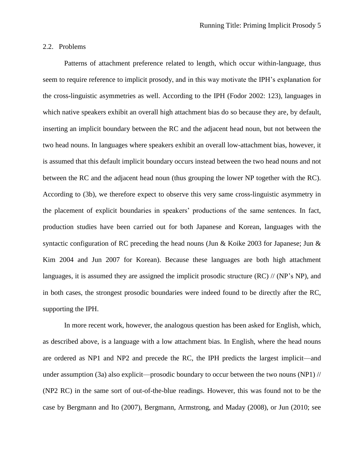### 2.2. Problems

Patterns of attachment preference related to length, which occur within-language, thus seem to require reference to implicit prosody, and in this way motivate the IPH's explanation for the cross-linguistic asymmetries as well. According to the IPH (Fodor 2002: 123), languages in which native speakers exhibit an overall high attachment bias do so because they are, by default, inserting an implicit boundary between the RC and the adjacent head noun, but not between the two head nouns. In languages where speakers exhibit an overall low-attachment bias, however, it is assumed that this default implicit boundary occurs instead between the two head nouns and not between the RC and the adjacent head noun (thus grouping the lower NP together with the RC). According to (3b), we therefore expect to observe this very same cross-linguistic asymmetry in the placement of explicit boundaries in speakers' productions of the same sentences. In fact, production studies have been carried out for both Japanese and Korean, languages with the syntactic configuration of RC preceding the head nouns (Jun & Koike 2003 for Japanese; Jun & Kim 2004 and Jun 2007 for Korean). Because these languages are both high attachment languages, it is assumed they are assigned the implicit prosodic structure (RC) // (NP's NP), and in both cases, the strongest prosodic boundaries were indeed found to be directly after the RC, supporting the IPH.

In more recent work, however, the analogous question has been asked for English, which, as described above, is a language with a low attachment bias. In English, where the head nouns are ordered as NP1 and NP2 and precede the RC, the IPH predicts the largest implicit—and under assumption (3a) also explicit—prosodic boundary to occur between the two nouns (NP1) // (NP2 RC) in the same sort of out-of-the-blue readings. However, this was found not to be the case by Bergmann and Ito (2007), Bergmann, Armstrong, and Maday (2008), or Jun (2010; see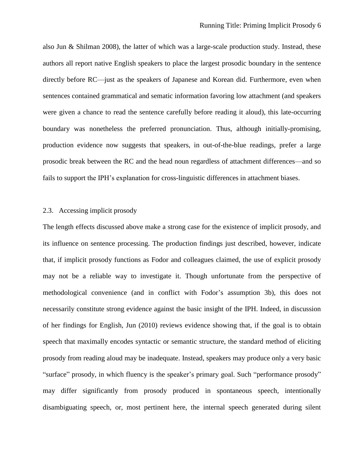also Jun & Shilman 2008), the latter of which was a large-scale production study. Instead, these authors all report native English speakers to place the largest prosodic boundary in the sentence directly before RC—just as the speakers of Japanese and Korean did. Furthermore, even when sentences contained grammatical and sematic information favoring low attachment (and speakers were given a chance to read the sentence carefully before reading it aloud), this late-occurring boundary was nonetheless the preferred pronunciation. Thus, although initially-promising, production evidence now suggests that speakers, in out-of-the-blue readings, prefer a large prosodic break between the RC and the head noun regardless of attachment differences—and so fails to support the IPH's explanation for cross-linguistic differences in attachment biases.

## 2.3. Accessing implicit prosody

The length effects discussed above make a strong case for the existence of implicit prosody, and its influence on sentence processing. The production findings just described, however, indicate that, if implicit prosody functions as Fodor and colleagues claimed, the use of explicit prosody may not be a reliable way to investigate it. Though unfortunate from the perspective of methodological convenience (and in conflict with Fodor's assumption 3b), this does not necessarily constitute strong evidence against the basic insight of the IPH. Indeed, in discussion of her findings for English, Jun (2010) reviews evidence showing that, if the goal is to obtain speech that maximally encodes syntactic or semantic structure, the standard method of eliciting prosody from reading aloud may be inadequate. Instead, speakers may produce only a very basic "surface" prosody, in which fluency is the speaker's primary goal. Such "performance prosody" may differ significantly from prosody produced in spontaneous speech, intentionally disambiguating speech, or, most pertinent here, the internal speech generated during silent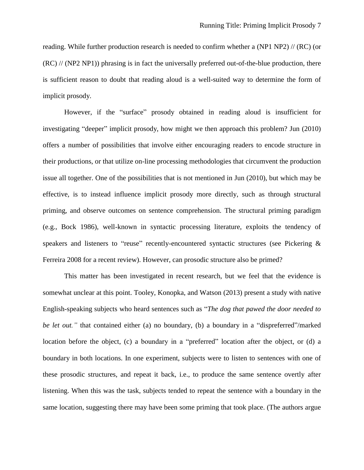reading. While further production research is needed to confirm whether a (NP1 NP2) // (RC) (or (RC) // (NP2 NP1)) phrasing is in fact the universally preferred out-of-the-blue production, there is sufficient reason to doubt that reading aloud is a well-suited way to determine the form of implicit prosody.

However, if the "surface" prosody obtained in reading aloud is insufficient for investigating "deeper" implicit prosody, how might we then approach this problem? Jun (2010) offers a number of possibilities that involve either encouraging readers to encode structure in their productions, or that utilize on-line processing methodologies that circumvent the production issue all together. One of the possibilities that is not mentioned in Jun (2010), but which may be effective, is to instead influence implicit prosody more directly, such as through structural priming, and observe outcomes on sentence comprehension. The structural priming paradigm (e.g., Bock 1986), well-known in syntactic processing literature, exploits the tendency of speakers and listeners to "reuse" recently-encountered syntactic structures (see Pickering & Ferreira 2008 for a recent review). However, can prosodic structure also be primed?

This matter has been investigated in recent research, but we feel that the evidence is somewhat unclear at this point. Tooley, Konopka, and Watson (2013) present a study with native English-speaking subjects who heard sentences such as "*The dog that pawed the door needed to be let out.*" that contained either (a) no boundary, (b) a boundary in a "dispreferred"/marked location before the object, (c) a boundary in a "preferred" location after the object, or (d) a boundary in both locations. In one experiment, subjects were to listen to sentences with one of these prosodic structures, and repeat it back, i.e., to produce the same sentence overtly after listening. When this was the task, subjects tended to repeat the sentence with a boundary in the same location, suggesting there may have been some priming that took place. (The authors argue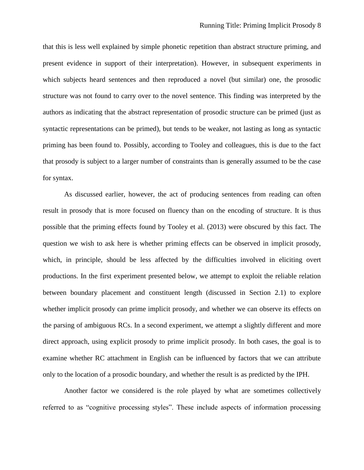that this is less well explained by simple phonetic repetition than abstract structure priming, and present evidence in support of their interpretation). However, in subsequent experiments in which subjects heard sentences and then reproduced a novel (but similar) one, the prosodic structure was not found to carry over to the novel sentence. This finding was interpreted by the authors as indicating that the abstract representation of prosodic structure can be primed (just as syntactic representations can be primed), but tends to be weaker, not lasting as long as syntactic priming has been found to. Possibly, according to Tooley and colleagues, this is due to the fact that prosody is subject to a larger number of constraints than is generally assumed to be the case for syntax.

As discussed earlier, however, the act of producing sentences from reading can often result in prosody that is more focused on fluency than on the encoding of structure. It is thus possible that the priming effects found by Tooley et al. (2013) were obscured by this fact. The question we wish to ask here is whether priming effects can be observed in implicit prosody, which, in principle, should be less affected by the difficulties involved in eliciting overt productions. In the first experiment presented below, we attempt to exploit the reliable relation between boundary placement and constituent length (discussed in Section 2.1) to explore whether implicit prosody can prime implicit prosody, and whether we can observe its effects on the parsing of ambiguous RCs. In a second experiment, we attempt a slightly different and more direct approach, using explicit prosody to prime implicit prosody. In both cases, the goal is to examine whether RC attachment in English can be influenced by factors that we can attribute only to the location of a prosodic boundary, and whether the result is as predicted by the IPH.

Another factor we considered is the role played by what are sometimes collectively referred to as "cognitive processing styles". These include aspects of information processing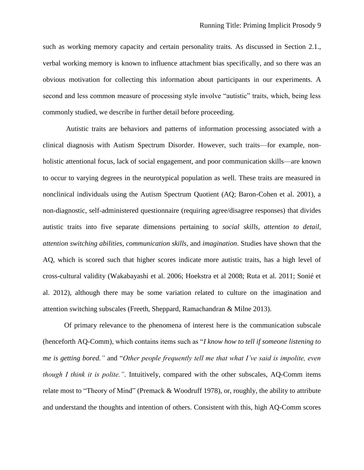such as working memory capacity and certain personality traits. As discussed in Section 2.1., verbal working memory is known to influence attachment bias specifically, and so there was an obvious motivation for collecting this information about participants in our experiments. A second and less common measure of processing style involve "autistic" traits, which, being less commonly studied, we describe in further detail before proceeding.

Autistic traits are behaviors and patterns of information processing associated with a clinical diagnosis with Autism Spectrum Disorder. However, such traits—for example, nonholistic attentional focus, lack of social engagement, and poor communication skills—are known to occur to varying degrees in the neurotypical population as well. These traits are measured in nonclinical individuals using the Autism Spectrum Quotient (AQ; Baron-Cohen et al. 2001), a non-diagnostic, self-administered questionnaire (requiring agree/disagree responses) that divides autistic traits into five separate dimensions pertaining to *social skills*, *attention to detail*, *attention switching abilities*, *communication skills*, and *imagination*. Studies have shown that the AQ, which is scored such that higher scores indicate more autistic traits, has a high level of cross-cultural validity (Wakabayashi et al. 2006; Hoekstra et al 2008; Ruta et al. 2011; Sonié et al. 2012), although there may be some variation related to culture on the imagination and attention switching subscales (Freeth, Sheppard, Ramachandran & Milne 2013).

Of primary relevance to the phenomena of interest here is the communication subscale (henceforth AQ-Comm), which contains items such as "*I know how to tell if someone listening to me is getting bored."* and "*Other people frequently tell me that what I've said is impolite, even though I think it is polite."*. Intuitively, compared with the other subscales, AQ-Comm items relate most to "Theory of Mind" (Premack & Woodruff 1978), or, roughly, the ability to attribute and understand the thoughts and intention of others. Consistent with this, high AQ-Comm scores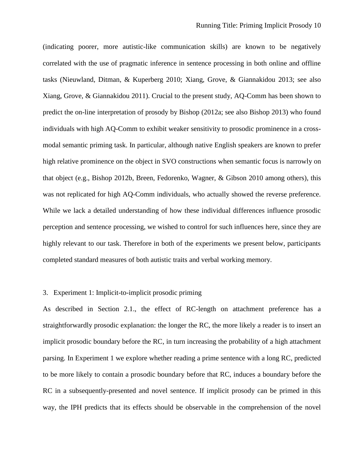(indicating poorer, more autistic-like communication skills) are known to be negatively correlated with the use of pragmatic inference in sentence processing in both online and offline tasks (Nieuwland, Ditman, & Kuperberg 2010; Xiang, Grove, & Giannakidou 2013; see also Xiang, Grove, & Giannakidou 2011). Crucial to the present study, AQ-Comm has been shown to predict the on-line interpretation of prosody by Bishop (2012a; see also Bishop 2013) who found individuals with high AQ-Comm to exhibit weaker sensitivity to prosodic prominence in a crossmodal semantic priming task. In particular, although native English speakers are known to prefer high relative prominence on the object in SVO constructions when semantic focus is narrowly on that object (e.g., Bishop 2012b, Breen, Fedorenko, Wagner, & Gibson 2010 among others), this was not replicated for high AQ-Comm individuals, who actually showed the reverse preference. While we lack a detailed understanding of how these individual differences influence prosodic perception and sentence processing, we wished to control for such influences here, since they are highly relevant to our task. Therefore in both of the experiments we present below, participants completed standard measures of both autistic traits and verbal working memory.

## 3. Experiment 1: Implicit-to-implicit prosodic priming

As described in Section 2.1., the effect of RC-length on attachment preference has a straightforwardly prosodic explanation: the longer the RC, the more likely a reader is to insert an implicit prosodic boundary before the RC, in turn increasing the probability of a high attachment parsing. In Experiment 1 we explore whether reading a prime sentence with a long RC, predicted to be more likely to contain a prosodic boundary before that RC, induces a boundary before the RC in a subsequently-presented and novel sentence. If implicit prosody can be primed in this way, the IPH predicts that its effects should be observable in the comprehension of the novel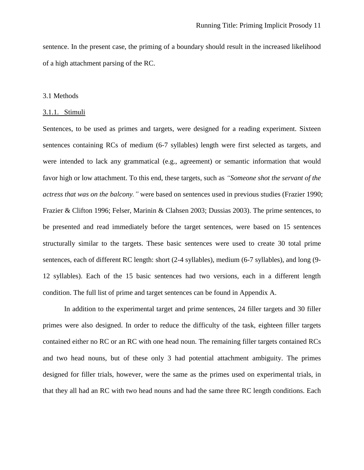sentence. In the present case, the priming of a boundary should result in the increased likelihood of a high attachment parsing of the RC.

### 3.1 Methods

### 3.1.1. Stimuli

Sentences, to be used as primes and targets, were designed for a reading experiment. Sixteen sentences containing RCs of medium (6-7 syllables) length were first selected as targets, and were intended to lack any grammatical (e.g., agreement) or semantic information that would favor high or low attachment. To this end, these targets, such as *"Someone shot the servant of the actress that was on the balcony."* were based on sentences used in previous studies (Frazier 1990; Frazier & Clifton 1996; Felser, Marinin & Clahsen 2003; Dussias 2003). The prime sentences, to be presented and read immediately before the target sentences, were based on 15 sentences structurally similar to the targets. These basic sentences were used to create 30 total prime sentences, each of different RC length: short (2-4 syllables), medium (6-7 syllables), and long (9- 12 syllables). Each of the 15 basic sentences had two versions, each in a different length condition. The full list of prime and target sentences can be found in Appendix A.

In addition to the experimental target and prime sentences, 24 filler targets and 30 filler primes were also designed. In order to reduce the difficulty of the task, eighteen filler targets contained either no RC or an RC with one head noun. The remaining filler targets contained RCs and two head nouns, but of these only 3 had potential attachment ambiguity. The primes designed for filler trials, however, were the same as the primes used on experimental trials, in that they all had an RC with two head nouns and had the same three RC length conditions. Each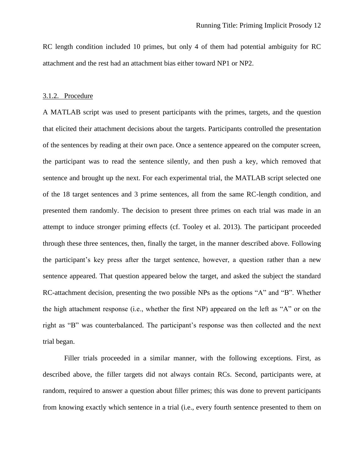RC length condition included 10 primes, but only 4 of them had potential ambiguity for RC attachment and the rest had an attachment bias either toward NP1 or NP2.

#### 3.1.2. Procedure

A MATLAB script was used to present participants with the primes, targets, and the question that elicited their attachment decisions about the targets. Participants controlled the presentation of the sentences by reading at their own pace. Once a sentence appeared on the computer screen, the participant was to read the sentence silently, and then push a key, which removed that sentence and brought up the next. For each experimental trial, the MATLAB script selected one of the 18 target sentences and 3 prime sentences, all from the same RC-length condition, and presented them randomly. The decision to present three primes on each trial was made in an attempt to induce stronger priming effects (cf. Tooley et al. 2013). The participant proceeded through these three sentences, then, finally the target, in the manner described above. Following the participant's key press after the target sentence, however, a question rather than a new sentence appeared. That question appeared below the target, and asked the subject the standard RC-attachment decision, presenting the two possible NPs as the options "A" and "B". Whether the high attachment response (i.e., whether the first NP) appeared on the left as "A" or on the right as "B" was counterbalanced. The participant's response was then collected and the next trial began.

Filler trials proceeded in a similar manner, with the following exceptions. First, as described above, the filler targets did not always contain RCs. Second, participants were, at random, required to answer a question about filler primes; this was done to prevent participants from knowing exactly which sentence in a trial (i.e., every fourth sentence presented to them on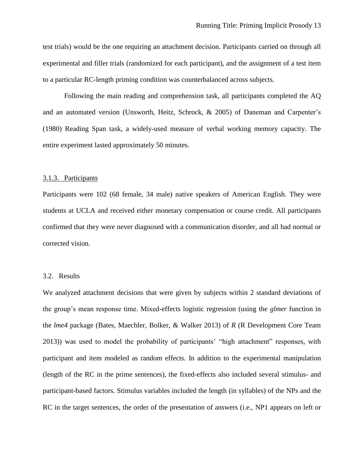test trials) would be the one requiring an attachment decision. Participants carried on through all experimental and filler trials (randomized for each participant), and the assignment of a test item to a particular RC-length priming condition was counterbalanced across subjects.

Following the main reading and comprehension task, all participants completed the AQ and an automated version (Unsworth, Heitz, Schrock, & 2005) of Daneman and Carpenter's (1980) Reading Span task, a widely-used measure of verbal working memory capacity. The entire experiment lasted approximately 50 minutes.

### 3.1.3. Participants

Participants were 102 (68 female, 34 male) native speakers of American English. They were students at UCLA and received either monetary compensation or course credit. All participants confirmed that they were never diagnosed with a communication disorder, and all had normal or corrected vision.

### 3.2. Results

We analyzed attachment decisions that were given by subjects within 2 standard deviations of the group's mean response time. Mixed-effects logistic regression (using the *glmer* function in the *lme4* package (Bates, Maechler, Bolker, & Walker 2013) of *R* (R Development Core Team 2013)) was used to model the probability of participants' "high attachment" responses, with participant and item modeled as random effects. In addition to the experimental manipulation (length of the RC in the prime sentences), the fixed-effects also included several stimulus- and participant-based factors. Stimulus variables included the length (in syllables) of the NPs and the RC in the target sentences, the order of the presentation of answers (i.e., NP1 appears on left or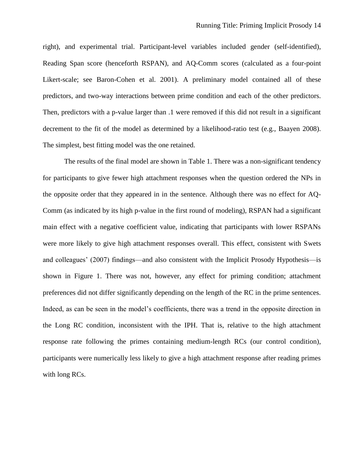right), and experimental trial. Participant-level variables included gender (self-identified), Reading Span score (henceforth RSPAN), and AQ-Comm scores (calculated as a four-point Likert-scale; see Baron-Cohen et al. 2001). A preliminary model contained all of these predictors, and two-way interactions between prime condition and each of the other predictors. Then, predictors with a p-value larger than .1 were removed if this did not result in a significant decrement to the fit of the model as determined by a likelihood-ratio test (e.g., Baayen 2008). The simplest, best fitting model was the one retained.

The results of the final model are shown in Table 1. There was a non-significant tendency for participants to give fewer high attachment responses when the question ordered the NPs in the opposite order that they appeared in in the sentence. Although there was no effect for AQ-Comm (as indicated by its high p-value in the first round of modeling), RSPAN had a significant main effect with a negative coefficient value, indicating that participants with lower RSPANs were more likely to give high attachment responses overall. This effect, consistent with Swets and colleagues' (2007) findings—and also consistent with the Implicit Prosody Hypothesis—is shown in Figure 1. There was not, however, any effect for priming condition; attachment preferences did not differ significantly depending on the length of the RC in the prime sentences. Indeed, as can be seen in the model's coefficients, there was a trend in the opposite direction in the Long RC condition, inconsistent with the IPH. That is, relative to the high attachment response rate following the primes containing medium-length RCs (our control condition), participants were numerically less likely to give a high attachment response after reading primes with long RCs.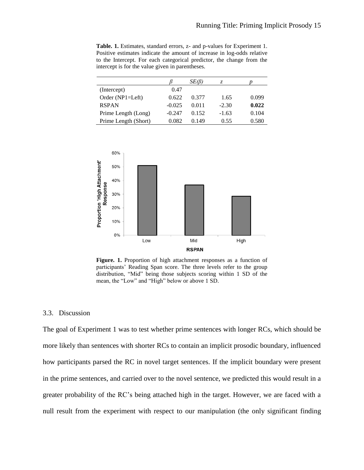**Table. 1.** Estimates, standard errors, z- and p-values for Experiment 1. Positive estimates indicate the amount of increase in log-odds relative to the Intercept. For each categorical predictor, the change from the intercept is for the value given in parentheses.

|                      |          | SE(B) |         |       |
|----------------------|----------|-------|---------|-------|
| (Intercept)          | 0.47     |       |         |       |
| Order (NP1=Left)     | 0.622    | 0.377 | 1.65    | 0.099 |
| <b>RSPAN</b>         | $-0.025$ | 0.011 | $-2.30$ | 0.022 |
| Prime Length (Long)  | $-0.247$ | 0.152 | $-1.63$ | 0.104 |
| Prime Length (Short) | 0.082    | 0.149 | 0.55    | 0.580 |



**Figure. 1.** Proportion of high attachment responses as a function of participants' Reading Span score. The three levels refer to the group distribution, "Mid" being those subjects scoring within 1 SD of the mean, the "Low" and "High" below or above 1 SD.

## 3.3. Discussion

The goal of Experiment 1 was to test whether prime sentences with longer RCs, which should be more likely than sentences with shorter RCs to contain an implicit prosodic boundary, influenced how participants parsed the RC in novel target sentences. If the implicit boundary were present in the prime sentences, and carried over to the novel sentence, we predicted this would result in a greater probability of the RC's being attached high in the target. However, we are faced with a null result from the experiment with respect to our manipulation (the only significant finding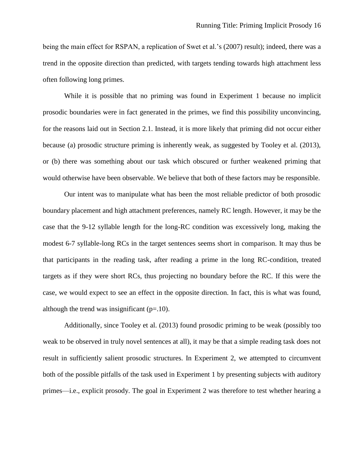being the main effect for RSPAN, a replication of Swet et al.'s (2007) result); indeed, there was a trend in the opposite direction than predicted, with targets tending towards high attachment less often following long primes.

While it is possible that no priming was found in Experiment 1 because no implicit prosodic boundaries were in fact generated in the primes, we find this possibility unconvincing, for the reasons laid out in Section 2.1. Instead, it is more likely that priming did not occur either because (a) prosodic structure priming is inherently weak, as suggested by Tooley et al. (2013), or (b) there was something about our task which obscured or further weakened priming that would otherwise have been observable. We believe that both of these factors may be responsible.

Our intent was to manipulate what has been the most reliable predictor of both prosodic boundary placement and high attachment preferences, namely RC length. However, it may be the case that the 9-12 syllable length for the long-RC condition was excessively long, making the modest 6-7 syllable-long RCs in the target sentences seems short in comparison. It may thus be that participants in the reading task, after reading a prime in the long RC-condition, treated targets as if they were short RCs, thus projecting no boundary before the RC. If this were the case, we would expect to see an effect in the opposite direction. In fact, this is what was found, although the trend was insignificant  $(p=10)$ .

Additionally, since Tooley et al. (2013) found prosodic priming to be weak (possibly too weak to be observed in truly novel sentences at all), it may be that a simple reading task does not result in sufficiently salient prosodic structures. In Experiment 2, we attempted to circumvent both of the possible pitfalls of the task used in Experiment 1 by presenting subjects with auditory primes—i.e., explicit prosody. The goal in Experiment 2 was therefore to test whether hearing a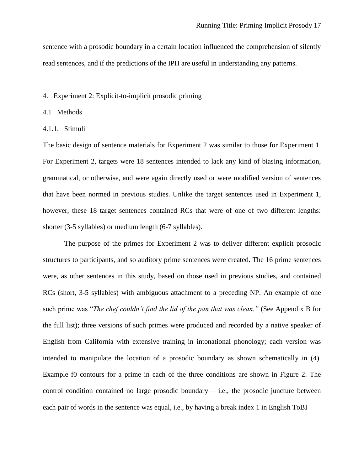sentence with a prosodic boundary in a certain location influenced the comprehension of silently read sentences, and if the predictions of the IPH are useful in understanding any patterns.

### 4. Experiment 2: Explicit-to-implicit prosodic priming

## 4.1 Methods

#### 4.1.1. Stimuli

The basic design of sentence materials for Experiment 2 was similar to those for Experiment 1. For Experiment 2, targets were 18 sentences intended to lack any kind of biasing information, grammatical, or otherwise, and were again directly used or were modified version of sentences that have been normed in previous studies. Unlike the target sentences used in Experiment 1, however, these 18 target sentences contained RCs that were of one of two different lengths: shorter (3-5 syllables) or medium length (6-7 syllables).

The purpose of the primes for Experiment 2 was to deliver different explicit prosodic structures to participants, and so auditory prime sentences were created. The 16 prime sentences were, as other sentences in this study, based on those used in previous studies, and contained RCs (short, 3-5 syllables) with ambiguous attachment to a preceding NP. An example of one such prime was "*The chef couldn't find the lid of the pan that was clean."* (See Appendix B for the full list); three versions of such primes were produced and recorded by a native speaker of English from California with extensive training in intonational phonology; each version was intended to manipulate the location of a prosodic boundary as shown schematically in (4). Example f0 contours for a prime in each of the three conditions are shown in Figure 2. The control condition contained no large prosodic boundary— i.e., the prosodic juncture between each pair of words in the sentence was equal, i.e., by having a break index 1 in English ToBI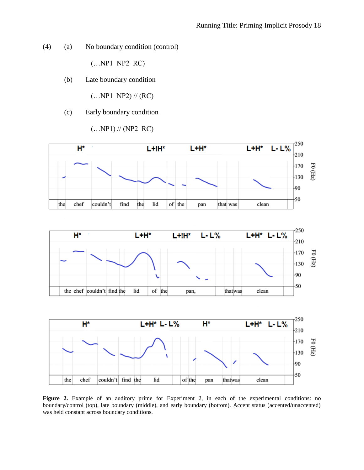(4) (a) No boundary condition (control)

(…NP1 NP2 RC)

- (b) Late boundary condition
	- $(...NP1 NP2)$  // (RC)
- (c) Early boundary condition

 $(...NP1)$  // (NP2 RC)



Figure 2. Example of an auditory prime for Experiment 2, in each of the experimental conditions: no boundary/control (top), late boundary (middle), and early boundary (bottom). Accent status (accented/unaccented) was held constant across boundary conditions.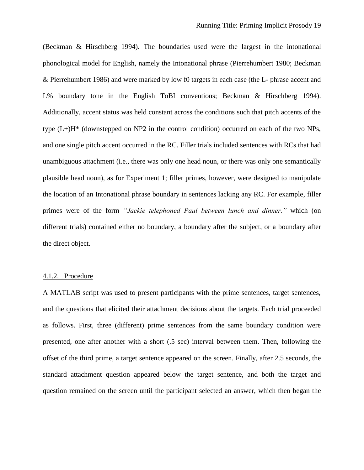(Beckman & Hirschberg 1994). The boundaries used were the largest in the intonational phonological model for English, namely the Intonational phrase (Pierrehumbert 1980; Beckman & Pierrehumbert 1986) and were marked by low f0 targets in each case (the L- phrase accent and L% boundary tone in the English ToBI conventions; Beckman & Hirschberg 1994). Additionally, accent status was held constant across the conditions such that pitch accents of the type  $(L+)H^*$  (downstepped on NP2 in the control condition) occurred on each of the two NPs, and one single pitch accent occurred in the RC. Filler trials included sentences with RCs that had unambiguous attachment (i.e., there was only one head noun, or there was only one semantically plausible head noun), as for Experiment 1; filler primes, however, were designed to manipulate the location of an Intonational phrase boundary in sentences lacking any RC. For example, filler primes were of the form *"Jackie telephoned Paul between lunch and dinner."* which (on different trials) contained either no boundary, a boundary after the subject, or a boundary after the direct object.

### 4.1.2. Procedure

A MATLAB script was used to present participants with the prime sentences, target sentences, and the questions that elicited their attachment decisions about the targets. Each trial proceeded as follows. First, three (different) prime sentences from the same boundary condition were presented, one after another with a short (.5 sec) interval between them. Then, following the offset of the third prime, a target sentence appeared on the screen. Finally, after 2.5 seconds, the standard attachment question appeared below the target sentence, and both the target and question remained on the screen until the participant selected an answer, which then began the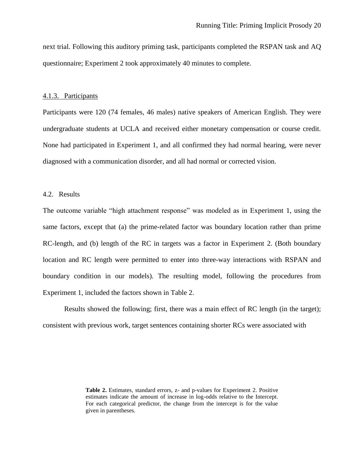next trial. Following this auditory priming task, participants completed the RSPAN task and AQ questionnaire; Experiment 2 took approximately 40 minutes to complete.

#### 4.1.3. Participants

Participants were 120 (74 females, 46 males) native speakers of American English. They were undergraduate students at UCLA and received either monetary compensation or course credit. None had participated in Experiment 1, and all confirmed they had normal hearing, were never diagnosed with a communication disorder, and all had normal or corrected vision.

### 4.2. Results

The outcome variable "high attachment response" was modeled as in Experiment 1, using the same factors, except that (a) the prime-related factor was boundary location rather than prime RC-length, and (b) length of the RC in targets was a factor in Experiment 2. (Both boundary location and RC length were permitted to enter into three-way interactions with RSPAN and boundary condition in our models). The resulting model, following the procedures from Experiment 1, included the factors shown in Table 2.

Results showed the following; first, there was a main effect of RC length (in the target); consistent with previous work, target sentences containing shorter RCs were associated with

**Table 2.** Estimates, standard errors, z- and p-values for Experiment 2. Positive estimates indicate the amount of increase in log-odds relative to the Intercept. For each categorical predictor, the change from the intercept is for the value given in parentheses.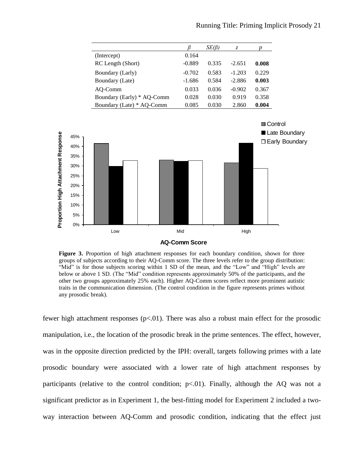|                            |          | SE(B) | Z.       |       |
|----------------------------|----------|-------|----------|-------|
| (Intercept)                | 0.164    |       |          |       |
| RC Length (Short)          | $-0.889$ | 0.335 | $-2.651$ | 0.008 |
| Boundary (Larly)           | $-0.702$ | 0.583 | $-1.203$ | 0.229 |
| Boundary (Late)            | $-1.686$ | 0.584 | $-2.886$ | 0.003 |
| AO-Comm                    | 0.033    | 0.036 | $-0.902$ | 0.367 |
| Boundary (Early) * AQ-Comm | 0.028    | 0.030 | 0.919    | 0.358 |
| Boundary (Late) * AQ-Comm  | 0.085    | 0.030 | 2.860    | 0.004 |



**Figure 3.** Proportion of high attachment responses for each boundary condition, shown for three groups of subjects according to their AQ-Comm score. The three levels refer to the group distribution: "Mid" is for those subjects scoring within 1 SD of the mean, and the "Low" and "High" levels are below or above 1 SD. (The "Mid" condition represents approximately 50% of the participants, and the other two groups approximately 25% each). Higher AQ-Comm scores reflect more prominent autistic traits in the communication dimension. (The control condition in the figure represents primes without any prosodic break).

fewer high attachment responses  $(p<.01)$ . There was also a robust main effect for the prosodic manipulation, i.e., the location of the prosodic break in the prime sentences. The effect, however, was in the opposite direction predicted by the IPH: overall, targets following primes with a late prosodic boundary were associated with a lower rate of high attachment responses by participants (relative to the control condition;  $p<0$ 1). Finally, although the AQ was not a significant predictor as in Experiment 1, the best-fitting model for Experiment 2 included a twoway interaction between AQ-Comm and prosodic condition, indicating that the effect just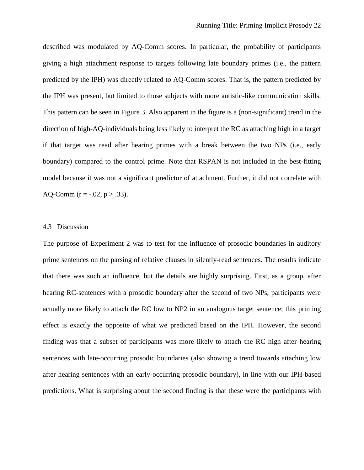described was modulated by AQ-Comm scores. In particular, the probability of participants giving a high attachment response to targets following late boundary primes (i.e., the pattern predicted by the IPH) was directly related to AQ-Comm scores. That is, the pattern predicted by the IPH was present, but limited to those subjects with more autistic-like communication skills. This pattern can be seen in Figure 3. Also apparent in the figure is a (non-significant) trend in the direction of high-AQ-individuals being less likely to interpret the RC as attaching high in a target if that target was read after hearing primes with a break between the two NPs (i.e., early boundary) compared to the control prime. Note that RSPAN is not included in the best-fitting model because it was not a significant predictor of attachment. Further, it did not correlate with AQ-Comm ( $r = -0.02$ ,  $p > 0.33$ ).

### 4.3 Discussion

The purpose of Experiment 2 was to test for the influence of prosodic boundaries in auditory prime sentences on the parsing of relative clauses in silently-read sentences. The results indicate that there was such an influence, but the details are highly surprising. First, as a group, after hearing RC-sentences with a prosodic boundary after the second of two NPs, participants were actually more likely to attach the RC low to NP2 in an analogous target sentence; this priming effect is exactly the opposite of what we predicted based on the IPH. However, the second finding was that a subset of participants was more likely to attach the RC high after hearing sentences with late-occurring prosodic boundaries (also showing a trend towards attaching low after hearing sentences with an early-occurring prosodic boundary), in line with our IPH-based predictions. What is surprising about the second finding is that these were the participants with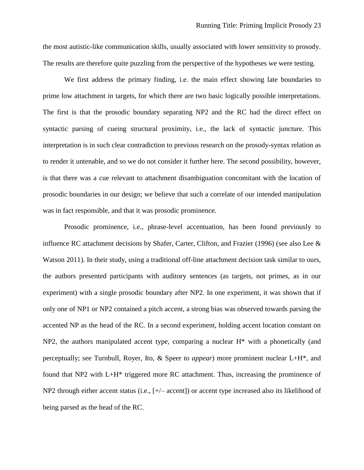the most autistic-like communication skills, usually associated with lower sensitivity to prosody. The results are therefore quite puzzling from the perspective of the hypotheses we were testing.

We first address the primary finding, i.e. the main effect showing late boundaries to prime low attachment in targets, for which there are two basic logically possible interpretations. The first is that the prosodic boundary separating NP2 and the RC had the direct effect on syntactic parsing of cueing structural proximity, i.e., the lack of syntactic juncture. This interpretation is in such clear contradiction to previous research on the prosody-syntax relation as to render it untenable, and so we do not consider it further here. The second possibility, however, is that there was a cue relevant to attachment disambiguation concomitant with the location of prosodic boundaries in our design; we believe that such a correlate of our intended manipulation was in fact responsible, and that it was prosodic prominence.

Prosodic prominence, i.e., phrase-level accentuation, has been found previously to influence RC attachment decisions by Shafer, Carter, Clifton, and Frazier (1996) (see also Lee  $\&$ Watson 2011). In their study, using a traditional off-line attachment decision task similar to ours, the authors presented participants with auditory sentences (as targets, not primes, as in our experiment) with a single prosodic boundary after NP2. In one experiment, it was shown that if only one of NP1 or NP2 contained a pitch accent, a strong bias was observed towards parsing the accented NP as the head of the RC. In a second experiment, holding accent location constant on NP2, the authors manipulated accent type, comparing a nuclear H\* with a phonetically (and perceptually; see Turnbull, Royer, Ito, & Speer *to appear*) more prominent nuclear L+H\*, and found that NP2 with L+H\* triggered more RC attachment. Thus, increasing the prominence of NP2 through either accent status (i.e.,  $[+/$  accent]) or accent type increased also its likelihood of being parsed as the head of the RC.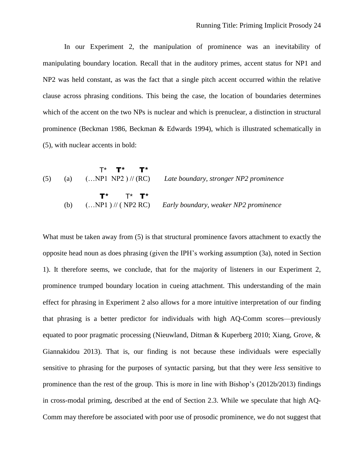In our Experiment 2, the manipulation of prominence was an inevitability of manipulating boundary location. Recall that in the auditory primes, accent status for NP1 and NP2 was held constant, as was the fact that a single pitch accent occurred within the relative clause across phrasing conditions. This being the case, the location of boundaries determines which of the accent on the two NPs is nuclear and which is prenuclear, a distinction in structural prominence (Beckman 1986, Beckman & Edwards 1994), which is illustrated schematically in (5), with nuclear accents in bold:

(5) (a) 
$$
T^* T^* T^*
$$

\n(b)  $(\ldots NP1 NP2) \mathit{ // (RC)}$  *Later boundary, stronger NP2 prominence*

\n(b)  $(\ldots NP1) \mathit{ // (NP2 RC)}$  *Early boundary, weaker NP2 prominence*

What must be taken away from (5) is that structural prominence favors attachment to exactly the opposite head noun as does phrasing (given the IPH's working assumption (3a), noted in Section 1). It therefore seems, we conclude, that for the majority of listeners in our Experiment 2, prominence trumped boundary location in cueing attachment. This understanding of the main effect for phrasing in Experiment 2 also allows for a more intuitive interpretation of our finding that phrasing is a better predictor for individuals with high AQ-Comm scores—previously equated to poor pragmatic processing (Nieuwland, Ditman & Kuperberg 2010; Xiang, Grove, & Giannakidou 2013). That is, our finding is not because these individuals were especially sensitive to phrasing for the purposes of syntactic parsing, but that they were *less* sensitive to prominence than the rest of the group. This is more in line with Bishop's (2012b/2013) findings in cross-modal priming, described at the end of Section 2.3. While we speculate that high AQ-Comm may therefore be associated with poor use of prosodic prominence, we do not suggest that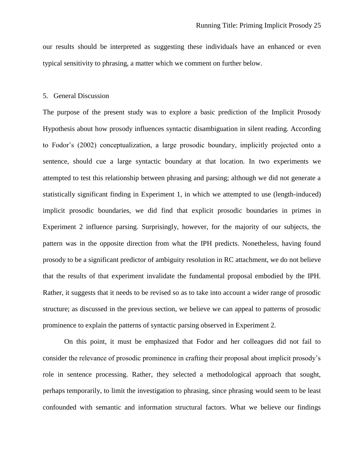our results should be interpreted as suggesting these individuals have an enhanced or even typical sensitivity to phrasing, a matter which we comment on further below.

### 5. General Discussion

The purpose of the present study was to explore a basic prediction of the Implicit Prosody Hypothesis about how prosody influences syntactic disambiguation in silent reading. According to Fodor's (2002) conceptualization, a large prosodic boundary, implicitly projected onto a sentence, should cue a large syntactic boundary at that location. In two experiments we attempted to test this relationship between phrasing and parsing; although we did not generate a statistically significant finding in Experiment 1, in which we attempted to use (length-induced) implicit prosodic boundaries, we did find that explicit prosodic boundaries in primes in Experiment 2 influence parsing. Surprisingly, however, for the majority of our subjects, the pattern was in the opposite direction from what the IPH predicts. Nonetheless, having found prosody to be a significant predictor of ambiguity resolution in RC attachment, we do not believe that the results of that experiment invalidate the fundamental proposal embodied by the IPH. Rather, it suggests that it needs to be revised so as to take into account a wider range of prosodic structure; as discussed in the previous section, we believe we can appeal to patterns of prosodic prominence to explain the patterns of syntactic parsing observed in Experiment 2.

On this point, it must be emphasized that Fodor and her colleagues did not fail to consider the relevance of prosodic prominence in crafting their proposal about implicit prosody's role in sentence processing. Rather, they selected a methodological approach that sought, perhaps temporarily, to limit the investigation to phrasing, since phrasing would seem to be least confounded with semantic and information structural factors. What we believe our findings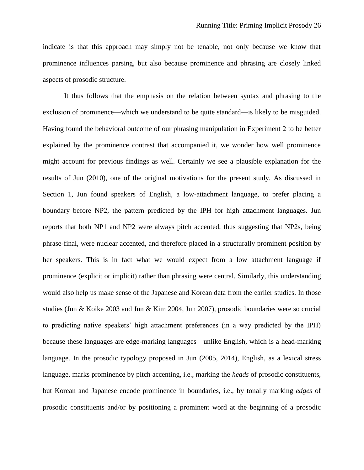indicate is that this approach may simply not be tenable, not only because we know that prominence influences parsing, but also because prominence and phrasing are closely linked aspects of prosodic structure.

It thus follows that the emphasis on the relation between syntax and phrasing to the exclusion of prominence—which we understand to be quite standard—is likely to be misguided. Having found the behavioral outcome of our phrasing manipulation in Experiment 2 to be better explained by the prominence contrast that accompanied it, we wonder how well prominence might account for previous findings as well. Certainly we see a plausible explanation for the results of Jun (2010), one of the original motivations for the present study. As discussed in Section 1, Jun found speakers of English, a low-attachment language, to prefer placing a boundary before NP2, the pattern predicted by the IPH for high attachment languages. Jun reports that both NP1 and NP2 were always pitch accented, thus suggesting that NP2s, being phrase-final, were nuclear accented, and therefore placed in a structurally prominent position by her speakers. This is in fact what we would expect from a low attachment language if prominence (explicit or implicit) rather than phrasing were central. Similarly, this understanding would also help us make sense of the Japanese and Korean data from the earlier studies. In those studies (Jun & Koike 2003 and Jun & Kim 2004, Jun 2007), prosodic boundaries were so crucial to predicting native speakers' high attachment preferences (in a way predicted by the IPH) because these languages are edge-marking languages—unlike English, which is a head-marking language. In the prosodic typology proposed in Jun (2005, 2014), English, as a lexical stress language, marks prominence by pitch accenting, i.e., marking the *heads* of prosodic constituents, but Korean and Japanese encode prominence in boundaries, i.e., by tonally marking *edges* of prosodic constituents and/or by positioning a prominent word at the beginning of a prosodic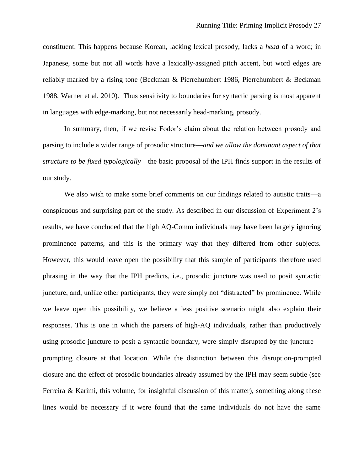constituent. This happens because Korean, lacking lexical prosody, lacks a *head* of a word; in Japanese, some but not all words have a lexically-assigned pitch accent, but word edges are reliably marked by a rising tone (Beckman & Pierrehumbert 1986, Pierrehumbert & Beckman 1988, Warner et al. 2010). Thus sensitivity to boundaries for syntactic parsing is most apparent in languages with edge-marking, but not necessarily head-marking, prosody.

In summary, then, if we revise Fodor's claim about the relation between prosody and parsing to include a wider range of prosodic structure—*and we allow the dominant aspect of that structure to be fixed typologically*—the basic proposal of the IPH finds support in the results of our study.

We also wish to make some brief comments on our findings related to autistic traits—a conspicuous and surprising part of the study. As described in our discussion of Experiment 2's results, we have concluded that the high AQ-Comm individuals may have been largely ignoring prominence patterns, and this is the primary way that they differed from other subjects. However, this would leave open the possibility that this sample of participants therefore used phrasing in the way that the IPH predicts, i.e., prosodic juncture was used to posit syntactic juncture, and, unlike other participants, they were simply not "distracted" by prominence. While we leave open this possibility, we believe a less positive scenario might also explain their responses. This is one in which the parsers of high-AQ individuals, rather than productively using prosodic juncture to posit a syntactic boundary, were simply disrupted by the juncture prompting closure at that location. While the distinction between this disruption-prompted closure and the effect of prosodic boundaries already assumed by the IPH may seem subtle (see Ferreira & Karimi, this volume, for insightful discussion of this matter), something along these lines would be necessary if it were found that the same individuals do not have the same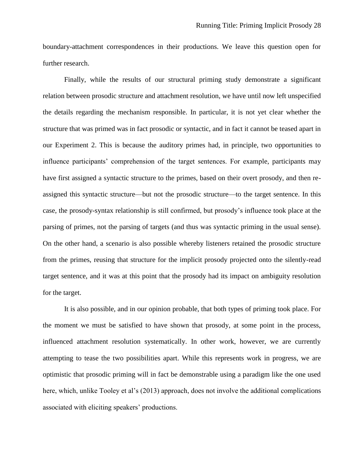boundary-attachment correspondences in their productions. We leave this question open for further research.

Finally, while the results of our structural priming study demonstrate a significant relation between prosodic structure and attachment resolution, we have until now left unspecified the details regarding the mechanism responsible. In particular, it is not yet clear whether the structure that was primed was in fact prosodic or syntactic, and in fact it cannot be teased apart in our Experiment 2. This is because the auditory primes had, in principle, two opportunities to influence participants' comprehension of the target sentences. For example, participants may have first assigned a syntactic structure to the primes, based on their overt prosody, and then reassigned this syntactic structure—but not the prosodic structure—to the target sentence. In this case, the prosody-syntax relationship is still confirmed, but prosody's influence took place at the parsing of primes, not the parsing of targets (and thus was syntactic priming in the usual sense). On the other hand, a scenario is also possible whereby listeners retained the prosodic structure from the primes, reusing that structure for the implicit prosody projected onto the silently-read target sentence, and it was at this point that the prosody had its impact on ambiguity resolution for the target.

It is also possible, and in our opinion probable, that both types of priming took place. For the moment we must be satisfied to have shown that prosody, at some point in the process, influenced attachment resolution systematically. In other work, however, we are currently attempting to tease the two possibilities apart. While this represents work in progress, we are optimistic that prosodic priming will in fact be demonstrable using a paradigm like the one used here, which, unlike Tooley et al's (2013) approach, does not involve the additional complications associated with eliciting speakers' productions.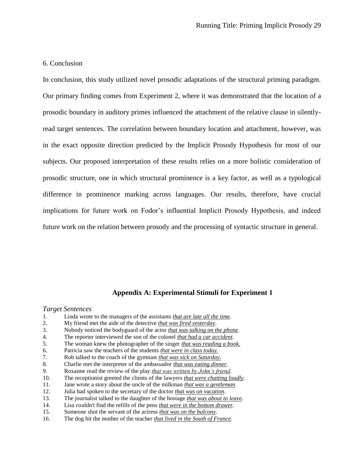## 6. Conclusion

In conclusion, this study utilized novel prosodic adaptations of the structural priming paradigm. Our primary finding comes from Experiment 2, where it was demonstrated that the location of a prosodic boundary in auditory primes influenced the attachment of the relative clause in silentlyread target sentences. The correlation between boundary location and attachment, however, was in the exact opposite direction predicted by the Implicit Prosody Hypothesis for most of our subjects. Our proposed interpretation of these results relies on a more holistic consideration of prosodic structure, one in which structural prominence is a key factor, as well as a typological difference in prominence marking across languages. Our results, therefore, have crucial implications for future work on Fodor's influential Implicit Prosody Hypothesis, and indeed future work on the relation between prosody and the processing of syntactic structure in general.

#### **Appendix A: Experimental Stimuli for Experiment 1**

#### *Target Sentences*

- 1. Linda wrote to the managers of the assistants *that are late all the time*.
- 2. My friend met the aide of the detective *that was fired yesterday*.
- 3. Nobody noticed the bodyguard of the actor *that was talking on the phone*.
- 4. The reporter interviewed the son of the colonel *that had a car accident.*
- 5. The woman knew the photographer of the singer *that was reading a book.*
- 6. Patricia saw the teachers of the students *that were in class today.*
- 7. Rob talked to the coach of the gymnast *that was sick on Saturday.*
- 8. Charlie met the interpreter of the ambassador *that was eating dinner.*
- 9. Roxanne read the review of the play *that was written by John's friend.*
- 10. The receptionist greeted the clients of the lawyers *that were chatting loudly.*
- 11. Jane wrote a story about the uncle of the milkman *that was a gentleman.*
- 12. Julia had spoken to the secretary of the doctor *that was on vacation.*
- 13. The journalist talked to the daughter of the hostage *that was about to leave.*
- 14. Lisa couldn't find the refills of the pens *that were in the bottom drawer.*
- 15. Someone shot the servant of the actress *that was on the balcony.*
- 16. The dog bit the mother of the teacher *that lived in the South of France.*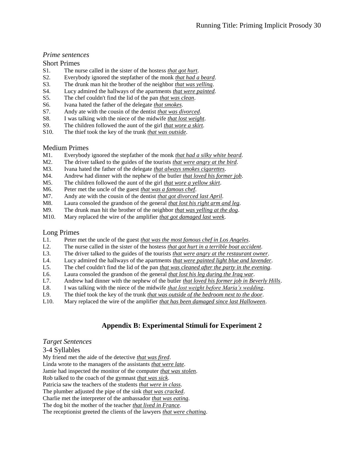## *Prime sentences*

## Short Primes

- S1. The nurse called in the sister of the hostess *that got hurt*.
- S2. Everybody ignored the stepfather of the monk *that had a beard*.
- S3. The drunk man hit the brother of the neighbor *that was yelling*.
- S4. Lucy admired the hallways of the apartments *that were painted*.
- S5. The chef couldn't find the lid of the pan *that was clean*.
- S6. Ivana hated the father of the delegate *that smokes*.
- S7. Andy ate with the cousin of the dentist *that was divorced*.
- S8. I was talking with the niece of the midwife *that lost weight*.
- S9. The children followed the aunt of the girl *that wore a skirt*.
- S10. The thief took the key of the trunk *that was outside*.

## Medium Primes

- M1. Everybody ignored the stepfather of the monk *that had a silky white beard*.
- M2. The driver talked to the guides of the tourists *that were angry at the bird*.
- M3. Ivana hated the father of the delegate *that always smokes cigarettes*.
- M4. Andrew had dinner with the nephew of the butler *that loved his former job*.
- M5. The children followed the aunt of the girl *that wore a yellow skirt*.
- M6. Peter met the uncle of the guest *that was a famous chef*.
- M7. Andy ate with the cousin of the dentist *that got divorced last April*.
- M8. Laura consoled the grandson of the general *that lost his right arm and leg*.
- M9. The drunk man hit the brother of the neighbor *that was yelling at the dog*.
- M10. Mary replaced the wire of the amplifier *that got damaged last week*.

## Long Primes

- L1. Peter met the uncle of the guest *that was the most famous chef in Los Angeles*.
- L2. The nurse called in the sister of the hostess *that got hurt in a terrible boat accident*.
- L3. The driver talked to the guides of the tourists *that were angry at the restaurant owner*.
- L4. Lucy admired the hallways of the apartments *that were painted light blue and lavender*.
- L5. The chef couldn't find the lid of the pan *that was cleaned after the party in the evening*.
- L6. Laura consoled the grandson of the general *that lost his leg during the Iraq war*.
- L7. Andrew had dinner with the nephew of the butler *that loved his former job in Beverly Hills*.
- L8. I was talking with the niece of the midwife *that lost weight before Maria's wedding*.
- L9. The thief took the key of the trunk *that was outside of the bedroom next to the door*.
- L10. Mary replaced the wire of the amplifier *that has been damaged since last Halloween*.

# **Appendix B: Experimental Stimuli for Experiment 2**

### *Target Sentences*

3-4 Syllables

My friend met the aide of the detective *that was fired*.

Linda wrote to the managers of the assistants *that were late*.

Jamie had inspected the monitor of the computer *that was stolen*.

Rob talked to the coach of the gymnast *that was sick*.

Patricia saw the teachers of the students *that were in class*.

The plumber adjusted the pipe of the sink *that was cracked*.

Charlie met the interpreter of the ambassador *that was eating*.

The dog bit the mother of the teacher *that lived in France*.

The receptionist greeted the clients of the lawyers *that were chatting*.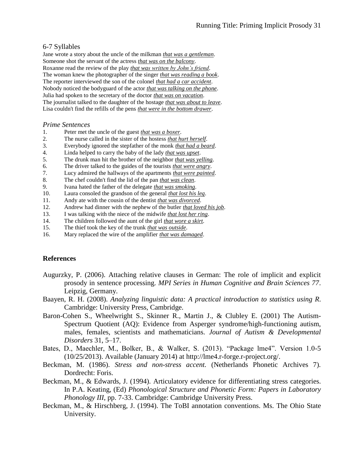## 6-7 Syllables

Jane wrote a story about the uncle of the milkman *that was a gentleman*. Someone shot the servant of the actress *that was on the balcony*. Roxanne read the review of the play *that was written by John's friend*. The woman knew the photographer of the singer *that was reading a book*. The reporter interviewed the son of the colonel *that had a car accident*. Nobody noticed the bodyguard of the actor *that was talking on the phone*. Julia had spoken to the secretary of the doctor *that was on vacation*. The journalist talked to the daughter of the hostage *that was about to leave*. Lisa couldn't find the refills of the pens *that were in the bottom drawer*.

### *Prime Sentences*

- 1. Peter met the uncle of the guest *that was a boxer*.
- 2. The nurse called in the sister of the hostess *that hurt herself*.
- 3. Everybody ignored the stepfather of the monk *that had a beard*.
- 4. Linda helped to carry the baby of the lady *that was upset*.
- 5. The drunk man hit the brother of the neighbor *that was yelling*.
- 6. The driver talked to the guides of the tourists *that were angry*.
- 7. Lucy admired the hallways of the apartments *that were painted*.
- 8. The chef couldn't find the lid of the pan *that was clean*.
- 9. Ivana hated the father of the delegate *that was smoking*.
- 10. Laura consoled the grandson of the general *that lost his leg*.
- 11. Andy ate with the cousin of the dentist *that was divorced*.
- 12. Andrew had dinner with the nephew of the butler *that loved his job*.
- 13. I was talking with the niece of the midwife *that lost her ring*.
- 14. The children followed the aunt of the girl *that wore a skirt*.
- 15. The thief took the key of the trunk *that was outside*.
- 16. Mary replaced the wire of the amplifier *that was damaged*.

## **References**

- Augurzky, P. (2006). Attaching relative clauses in German: The role of implicit and explicit prosody in sentence processing. *MPI Series in Human Cognitive and Brain Sciences 77*. Leipzig, Germany.
- Baayen, R. H. (2008). *Analyzing linguistic data: A practical introduction to statistics using R*. Cambridge: University Press, Cambridge.
- Baron-Cohen S., Wheelwright S., Skinner R., Martin J., & Clubley E. (2001) The Autism-Spectrum Quotient (AQ): Evidence from Asperger syndrome/high-functioning autism, males, females, scientists and mathematicians. *Journal of Autism & Developmental Disorders* 31, 5–17.
- Bates, D., Maechler, M., Bolker, B., & Walker, S. (2013). "Package lme4". Version 1.0-5 (10/25/2013). Available (January 2014) at [http://lme4.r-forge.r-project.org/.](http://lme4.r-forge.r-project.org/)
- Beckman, M. (1986). *Stress and non-stress accent.* (Netherlands Phonetic Archives 7)*.*  Dordrecht: Foris.
- Beckman, M., & Edwards, J. (1994). Articulatory evidence for differentiating stress categories. In P.A. Keating, (Ed) *Phonological Structure and Phonetic Form: Papers in Laboratory Phonology III*, pp. 7-33. Cambridge: Cambridge University Press.
- Beckman, M., & Hirschberg, J. (1994). The ToBI annotation conventions. Ms. The Ohio State University.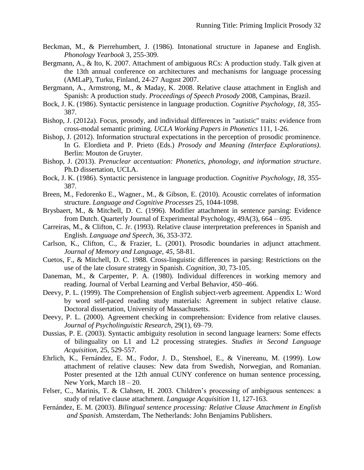- Beckman, M., & Pierrehumbert, J. (1986). Intonational structure in Japanese and English. *Phonology Yearbook* 3, 255-309.
- Bergmann, A., & Ito, K. 2007. Attachment of ambiguous RCs: A production study. Talk given at the 13th annual conference on architectures and mechanisms for language processing (AMLaP), Turku, Finland, 24-27 August 2007.
- Bergmann, A., Armstrong, M., & Maday, K. 2008. Relative clause attachment in English and Spanish: A production study. *Proceedings of Speech Prosody* 2008, Campinas, Brazil.
- Bock, J. K. (1986). Syntactic persistence in language production. *Cognitive Psychology, 18*, 355- 387.
- Bishop, J. (2012a). Focus, prosody, and individual differences in "autistic" traits: evidence from cross-modal semantic priming. *UCLA Working Papers in Phonetics* 111, 1-26.
- Bishop, J. (2012). Information structural expectations in the perception of prosodic prominence. In G. Elordieta and P. Prieto (Eds.) *Prosody and Meaning (Interface Explorations)*. Berlin: Mouton de Gruyter.
- Bishop, J. (2013). *Prenuclear accentuation: Phonetics, phonology, and information structure*. Ph.D dissertation, UCLA.
- Bock, J. K. (1986). Syntactic persistence in language production. *Cognitive Psychology, 18*, 355- 387.
- Breen, M., Fedorenko E., Wagner., M., & Gibson, E. (2010). Acoustic correlates of information structure. *Language and Cognitive Processes* 25, 1044-1098.
- Brysbaert, M., & Mitchell, D. C. (1996). Modifier attachment in sentence parsing: Evidence from Dutch. Quarterly Journal of Experimental Psychology, 49A(3), 664 – 695.
- Carreiras, M., & Clifton, C. Jr. (1993). Relative clause interpretation preferences in Spanish and English. *Language and Speech*, 36, 353-372.
- Carlson, K., Clifton, C., & Frazier, L. (2001). Prosodic boundaries in adjunct attachment. *Journal of Memory and Language*, *45,* 58-81.
- Cuetos, F., & Mitchell, D. C. 1988. Cross-linguistic differences in parsing: Restrictions on the use of the late closure strategy in Spanish. *Cognition*, *30*, 73-105.
- Daneman, M., & Carpenter, P. A. (1980). Individual differences in working memory and reading. Journal of Verbal Learning and Verbal Behavior, 450–466.
- Deevy, P. L. (1999). The Comprehension of English subject-verb agreement. Appendix L: Word by word self-paced reading study materials: Agreement in subject relative clause. Doctoral dissertation, University of Massachusetts.
- Deevy, P. L. (2000). Agreement checking in comprehension: Evidence from relative clauses. *Journal of Psycholinguistic Research*, 29(1), 69–79.
- Dussias, P. E. (2003). Syntactic ambiguity resolution in second language learners: Some effects of bilinguality on L1 and L2 processing strategies. *Studies in Second Language Acquisition*, 25, 529-557.
- Ehrlich, K., Fernández, E. M., Fodor, J. D., Stenshoel, E., & Vinereanu, M. (1999). Low attachment of relative clauses: New data from Swedish, Norwegian, and Romanian. Poster presented at the 12th annual CUNY conference on human sentence processing, New York, March  $18 - 20$ .
- Felser, C., Marinis, T. & Clahsen, H. 2003. Children's processing of ambiguous sentences: a study of relative clause attachment. *Language Acquisition* 11, 127-163.
- Fernández, E. M. (2003). *Bilingual sentence processing: Relative Clause Attachment in English and Spanish*. Amsterdam, The Netherlands: John Benjamins Publishers.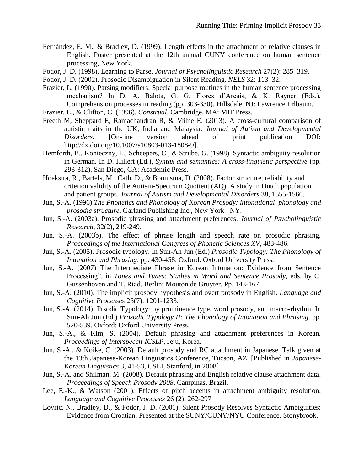- Fernández, E. M., & Bradley, D. (1999). Length effects in the attachment of relative clauses in English. Poster presented at the 12th annual CUNY conference on human sentence processing, New York.
- Fodor, J. D. (1998). Learning to Parse. *Journal of Psycholinguistic Research* 27(2): 285–319.
- Fodor, J. D. (2002). Prosodic Disambiguation in Silent Reading. *NELS* 32: 113–32.
- Frazier, L. (1990). Parsing modifiers: Special purpose routines in the human sentence processing mechanism? In D. A. Balota, G. G. Flores d'Arcais, & K. Rayner (Eds.), Comprehension processes in reading (pp. 303-330). Hillsdale, NJ: Lawrence Erlbaum.
- Frazier, L., & Clifton, C. (1996). *Construal*. Cambridge, MA: MIT Press.
- Freeth M, Sheppard E, Ramachandran R, & Milne E. (2013). A cross-cultural comparison of autistic traits in the UK, India and Malaysia. *Journal of Autism and Developmental Disorders*. [On-line version ahead of print publication DOI: http://dx.doi.org/10.1007/s10803-013-1808-9].
- Hemforth, B., Konieczny, L., Scheepers, C., & Strube, G. (1998). Syntactic ambiguity resolution in German. In D. Hillert (Ed.), *Syntax and semantics: A cross-linguistic perspective* (pp. 293-312). San Diego, CA: Academic Press.
- Hoekstra, R., Bartels, M., Cath, D., & Boomsma, D. (2008). Factor structure, reliability and criterion validity of the Autism-Spectrum Quotient (AQ): A study in Dutch population and patient groups. *Journal of Autism and Developmental Disorders* 38, 1555-1566.
- Jun, S.-A. (1996) *The Phonetics and Phonology of Korean Prosody: intonational phonology and prosodic structure*, Garland Publishing Inc., New York : NY.
- Jun, S.-A. (2003a). Prosodic phrasing and attachment preferences. *Journal of Psycholinguistic Research*, 32(2), 219-249.
- Jun, S.-A. (2003b). The effect of phrase length and speech rate on prosodic phrasing. *Proceedings of the International Congress of Phonetic Sciences XV*, 483-486.
- Jun, S.-A. (2005). Prosodic typology. In Sun-Ah Jun (Ed.) *Prosodic Typology: The Phonology of Intonation and Phrasing*. pp. 430-458. Oxford: Oxford University Press.
- Jun, S.-A. (2007) The Intermediate Phrase in Korean Intonation: Evidence from Sentence Processing", in *Tones and Tunes: Studies in Word and Sentence Prosody*, eds. by C. Gussenhoven and T. Riad. Berlin: Mouton de Gruyter. Pp. 143-167.
- Jun, S.-A. (2010). The implicit prosody hypothesis and overt prosody in English. *Language and Cognitive Processes* 25(7): 1201-1233.
- Jun, S.-A. (2014). Prsodic Typology: by prominence type, word prosody, and macro-rhythm. In Sun-Ah Jun (Ed.) *Prosodic Typology II: The Phonology of Intonation and Phrasing*. pp. 520-539. Oxford: Oxford University Press.
- Jun, S.-A., & Kim, S. (2004). Default phrasing and attachment preferences in Korean. *Proceedings of Interspecch-ICSLP*, Jeju, Korea.
- Jun, S.-A., & Koike, C. (2003). Default prosody and RC attachment in Japanese. Talk given at the 13th Japanese-Korean Linguistics Conference, Tucson, AZ. [Published in *Japanese-Korean Linguistics* 3, 41-53, CSLI, Stanford, in 2008].
- Jun, S.-A. and Shilman, M. (2008). Default phrasing and English relative clause attachment data. *Proccedings of Speech Prosody 2008*, Campinas, Brazil.
- Lee, E.-K., & Watson (2001). Effects of pitch accents in attachment ambiguity resolution. *Language and Cognitive Processes* 26 (2), 262-297
- Lovric, N., Bradley, D., & Fodor, J. D. (2001). Silent Prosody Resolves Syntactic Ambiguities: Evidence from Croatian. Presented at the SUNY/CUNY/NYU Conference. Stonybrook.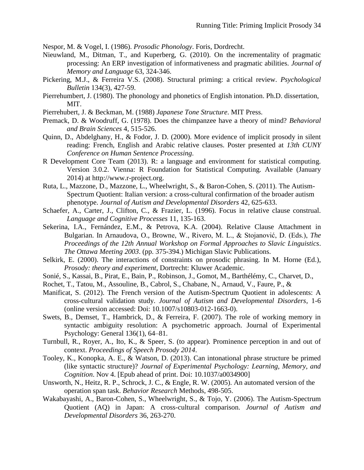Nespor, M. & Vogel, I. (1986). *Prosodic Phonology*. Foris, Dordrecht.

- Nieuwland, M., Ditman, T., and Kuperberg, G. (2010). On the incrementality of pragmatic processing: An ERP investigation of informativeness and pragmatic abilities. *Journal of Memory and Language* 63, 324-346.
- Pickering, M.J., & Ferreira V.S. (2008). Structural priming: a critical review. *Psychological Bulletin* 134(3), 427-59.
- Pierrehumbert, J. (1980). The phonology and phonetics of English intonation. Ph.D. dissertation, MIT.
- Pierrehubert, J. & Beckman, M. (1988) *Japanese Tone Structure*. MIT Press.
- Premack, D. & Woodruff, G. (1978). Does the chimpanzee have a theory of mind? *Behavioral and Brain Sciences* 4, 515-526.
- Quinn, D., Abdelghany, H., & Fodor, J. D. (2000). More evidence of implicit prosody in silent reading: French, English and Arabic relative clauses. Poster presented at *13th CUNY Conference on Human Sentence Processing*.
- R Development Core Team (2013). R: a language and environment for statistical computing. Version 3.0.2. Vienna: R Foundation for Statistical Computing. Available (January 2014) at http://www.r-project.org.
- Ruta, L., Mazzone, D., Mazzone, L., Wheelwright, S., & Baron-Cohen, S. (2011). The Autism-Spectrum Quotient: Italian version: a cross-cultural confirmation of the broader autism phenotype. *Journal of Autism and Developmental Disorders* 42, 625-633.
- Schaefer, A., Carter, J., Clifton, C., & Frazier, L. (1996). Focus in relative clause construal. *Language and Cognitive Processes* 11, 135-163.
- Sekerina, I.A., Fernández, E.M., & Petrova, K.A. (2004). Relative Clause Attachment in Bulgarian. In Arnaudova, O., Browne, W., Rivero, M. L., & Stojanović, D. (Eds.), *The Proceedings of the 12th Annual Workshop on Formal Approaches to Slavic Linguistics*. *The Ottawa Meeting 2003*. (pp. 375-394.) Michigan Slavic Publications.
- Selkirk, E. (2000). The interactions of constraints on prosodic phrasing. In M. Horne (Ed.), *Prosody: theory and experiment*, Dortrecht: Kluwer Academic.
- Sonié, S., Kassai, B., Pirat, E., Bain, P., Robinson, J., Gomot, M., Barthélémy, C., Charvet, D.,
- Rochet, T., Tatou, M., Assouline, B., Cabrol, S., Chabane, N., Arnaud, V., Faure, P., &
- Manificat, S. (2012). The French version of the Autism-Spectrum Quotient in adolescents: A cross-cultural validation study. *Journal of Autism and Developmental Disorders*, 1-6 (online version accessed: Doi: 10.1007/s10803-012-1663-0).
- Swets, B., Demset, T., Hambrick, D., & Ferreira, F. (2007). The role of working memory in syntactic ambiguity resolution: A psychometric approach. Journal of Experimental Psychology: General 136(1), 64–81.
- Turnbull, R., Royer, A., Ito, K., & Speer, S. (to appear). Prominence perception in and out of context. *Proceedings of Speech Prosody 2014*.
- Tooley, K., Konopka, A. E., & Watson, D. (2013). Can intonational phrase structure be primed (like syntactic structure)? *Journal of Experimental Psychology: Learning, Memory, and Cognition*. Nov 4. [Epub ahead of print. Doi: 10.1037/a0034900]
- Unsworth, N., Heitz, R. P., Schrock, J. C., & Engle, R. W. (2005). An automated version of the operation span task. *Behavior Research* Methods, 498-505.
- Wakabayashi, A., Baron-Cohen, S., Wheelwright, S., & Tojo, Y. (2006). The Autism-Spectrum Quotient (AQ) in Japan: A cross-cultural comparison. *Journal of Autism and Developmental Disorders* 36, 263-270.